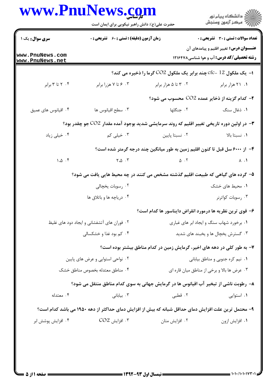| www.PnuNews.com                    | حضرت علی(ع): دانش راهبر نیکویی برای ایمان است                                                        |                    | ر<br>دانشڪاه پيام نور)<br>اڳ مرڪز آزمون وسنڊش                                                     |
|------------------------------------|------------------------------------------------------------------------------------------------------|--------------------|---------------------------------------------------------------------------------------------------|
| <b>سری سوال :</b> یک ۱             | <b>زمان آزمون (دقیقه) : تستی : 60 ٪ تشریحی : 0</b>                                                   |                    | <b>تعداد سوالات : تستی : 30 ٪ تشریحی : 0</b>                                                      |
| www.PnuNews.com<br>www.PnuNews.net |                                                                                                      |                    | <b>عنـــوان درس:</b> تغییر اقلیم و پیامدهای آن<br><b>رشته تحصیلی/کد درس:</b> آب و هوا شناسی121640 |
|                                    |                                                                                                      |                    | ا− یک ملکول 12 -cfc چند برابر یک ملکول CO2 گرما را ذخیره می کند؟                                  |
| ۰۴ تا ۳ برابر                      | ۰۳ ع تا ۷ هزرا برابر                                                                                 | ۰۲ تا ۵ هزار برابر | ۰۱ ۲۱ هزار برابر                                                                                  |
|                                    |                                                                                                      |                    | ۲- کدام گزینه از ذخایر عمده CO2 محسوب می شود؟                                                     |
| ۰۴ اقیانوس های عمیق                | ۰۳ سطح اقيانوس ها                                                                                    | ۲. جنگلها          | ۰۱ ذغال سنگ                                                                                       |
|                                    | ۳- در اولین دوره تاریخی تغییر اقلیم که روند سرمایشی شدید بوجود آمده مقدار CO2 جو چقدر بود؟           |                    |                                                                                                   |
| ۰۴ خیلی زیاد                       | ۰۳ خیلی کم                                                                                           | ٠٢ نسبتا يايين     | ٠١. نسبتا بالا                                                                                    |
|                                    |                                                                                                      |                    | ۴– از ۶۰۰۰ سل قبل تا کنون اقلیم زمین به طور میانگین چند درجه گرمتر شده است؟                       |
| 1.0.5                              | $\mathsf{Y}.\Delta$ .                                                                                | $\Delta$ . T       | $\Lambda$ . $\Lambda$                                                                             |
|                                    | ۵– گرده های گیاهی که طبیعت اقلیم گذشته مشخص می کنند در چه محیط هایی یافت می شود؟                     |                    |                                                                                                   |
|                                    | ۰۲ رسوبات يخچالي                                                                                     |                    | ۰۱ محیط های خشک                                                                                   |
|                                    | ۰۴ دریاچه ها و باتلاق ها                                                                             |                    | ۰۳ رسوبات کواترنر                                                                                 |
|                                    |                                                                                                      |                    | ۶– قوی ترین نظریه ها درمورد انقراض دایناسور ها کدام است؟                                          |
|                                    | ۰۲ فوران های آتشفشانی و ایجاد دود های غلیظ                                                           |                    | ۰۱ برخورد شهاب سنگ و ایجاد ابر های غباری                                                          |
|                                    | ۰۴ کم بود غذا و خشکسالی                                                                              |                    | ۰۳ گسترش يخچال ها و يخبند های شديد                                                                |
|                                    |                                                                                                      |                    | ۷- به طور کلی در دهه های اخیر، گرمایش زمین در کدام مناطق بیشتر بوده است؟                          |
|                                    | ۰۲ نواحی استوایی و عرض های پایین                                                                     |                    | ۰۱ نیم کره جنوبی و مناطق بیابانی                                                                  |
|                                    | ۰۴ مناطق معتدله بخصوص مناطق خشک                                                                      |                    | ۰۳ عرض ها بالا و برخی از مناطق میان قاره ای                                                       |
|                                    | ۸– رطوبت ناشی از تبخیر آب اقیانوس ها در گرمایش جهانی به سوی کدام مناطق منتقل می شود؟                 |                    |                                                                                                   |
| ۰۴ معتدله                          | ۰۳ بيابانى                                                                                           | ۰۲ قطبی            | ۰۱ استوايي                                                                                        |
|                                    | ۹– محتمل ترین علت افزایش دمای حداقل شبانه که بیش از افزایش دمای حداکثر از دهه ۱۹۵۰ می باشد کدام است؟ |                    |                                                                                                   |
| ۰۴ افزايش پوشش ابر                 | $CO2$ افزايش.                                                                                        | ۰۲ افزایش متان     | ٠١ افزايش ازون                                                                                    |
|                                    |                                                                                                      |                    |                                                                                                   |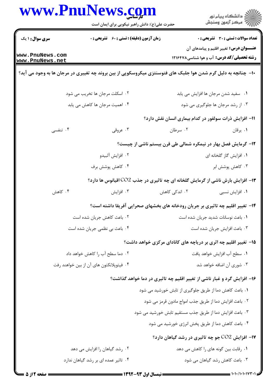|                                    | www.PnuNews.com<br>حضرت علی(ع): دانش راهبر نیکویی برای ایمان است | ≦ دانشڪاه پيام نور<br>ر∕ = مرکز آزمون وسنڊش                                                                    |  |
|------------------------------------|------------------------------------------------------------------|----------------------------------------------------------------------------------------------------------------|--|
| <b>سری سوال : ۱ یک</b>             | <b>زمان آزمون (دقیقه) : تستی : 60 ٪ تشریحی : 0</b>               | <b>تعداد سوالات : تستی : 30 - تشریحی : 0</b>                                                                   |  |
| www.PnuNews.com<br>www.PnuNews.net |                                                                  | <b>عنـــوان درس:</b> تغییر اقلیم و پیامدهای آن<br><b>رشته تحصیلی/کد درس:</b> آب و هوا شناسی1۲۱۶۴۷۸             |  |
|                                    |                                                                  | ∙ا− چنانچه به دلیل گرم شدن هوا جلبک های فتوسنتزی میکروسکوپی از بین بروند چه تغییری در مرجان ها به وجود می آید؟ |  |
| ۰۲ اسکلت مرجان ها تخریب می شود     |                                                                  | ۰۱ سفید شدن مرجان ها افزایش می یابد                                                                            |  |
| ۰۴ اهمیت مرجان ها کاهش می یابد     |                                                                  | ۰۳ از رشد مرجان ها جلوگیری می شود                                                                              |  |
|                                    |                                                                  | 11- افزایش ذرات سولفور در کدام بیماری انسان نقش دارد؟                                                          |  |
| ۰۴ تنفسی                           | ۰۳ عروقی                                                         | ۰۲ سرطان<br>۰۱ يرقان                                                                                           |  |
|                                    |                                                                  | ۱۲- گرمایش فصل بهار در نیمکره شمالی طی قرن بیستم ناشی از چیست؟                                                 |  |
|                                    | ۰۲ افزايش آلبيدو                                                 | ۰۱ افزایش گاز گلخانه ای                                                                                        |  |
|                                    | ۰۴ کاهش پوشش برف                                                 | ۰۳ کاهش پوشش ابر                                                                                               |  |
|                                    |                                                                  | ۱۳- افزایش بارش ناشی از گرمایش گلخانه ای چه تاثیری در جذب CO2 اقیانوس ها دارد؟                                 |  |
| ۰۴ کاهش                            | ۰۳ افزایش                                                        | ۰۲ اندکی کاهش<br>۰۱ افزایش نسبی                                                                                |  |
|                                    |                                                                  | ۱۴– تغییر اقلیم چه تاثیری بر جریان رودخانه های بخشهای صحرایی آفریقا داشته است؟                                 |  |
|                                    | ٢. باعث كاهش جريان شده است                                       | ٠١ باعث نوسانات شديد جريان شده است                                                                             |  |
|                                    | ۰۴ باعث بی نظمی جریان شده است                                    | ٠٣ باعث افزايش جريان شده است                                                                                   |  |
|                                    |                                                                  | ۱۵– تغییر اقلیم چه اثری بر دریاچه های کانادای مرکزی خواهد داشت؟                                                |  |
| ۰۲ دما سطح آب را کاهش خواهد داد    |                                                                  | ٠١ سطح آب افزايش خواهد يافت                                                                                    |  |
|                                    | ۰۴ فیتوپلانکتون های آن از بین خواهند رفت                         | ۰۳ شوری آن اضافه خواهد شد                                                                                      |  |
|                                    |                                                                  | ۱۶- افزایش گرد و غبار ناشی از تغییر اقلیم چه تاثیری در دما خواهد گذاشت؟                                        |  |
|                                    |                                                                  | ۰۱ باعث کاهش دما از طریق جلوگیری از تابش خورشید می شود                                                         |  |
|                                    |                                                                  | ۰۲ باعث افزایش دما از طریق جذب امواج مادون قرمز می شود                                                         |  |
|                                    |                                                                  | ۰۳ باعث افزایش دما از طریق جذب مستقیم تابش خورشید می شود                                                       |  |
|                                    |                                                                  | ۰۴ باعث کاهش دما از طریق پخش انرژی خورشید می شود                                                               |  |
|                                    |                                                                  | <b>۱۷- افزایش CO2 جو چه تاثیری در رشد گیاهان دارد؟</b>                                                         |  |
|                                    | ۰۲ رشد گیاهان را افزایش می دهد                                   | ۰۱ رقابت بین گونه های را کاهش می دهد                                                                           |  |
|                                    | ۰۴ تاثیر عمده ای بر رشد گیاهان ندارد                             | ٠٣ باعث كاهش رشد گياهان مي شود                                                                                 |  |

 $\blacksquare$ 

 $= 1.1 - (1.1.14)$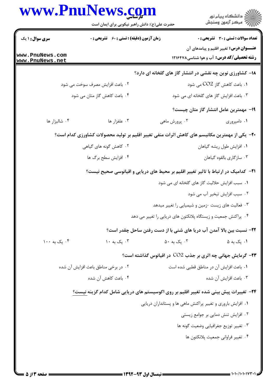|                                    | www.PnuNews.com<br>حضرت علی(ع): دانش راهبر نیکویی برای ایمان است | ڪ دانشڪاه پيام نور<br>پ <sup>ر</sup> مرڪز آزمون وسنڊش                                              |
|------------------------------------|------------------------------------------------------------------|----------------------------------------------------------------------------------------------------|
| <b>سری سوال : ۱ یک</b>             | <b>زمان آزمون (دقیقه) : تستی : 60 ٪ تشریحی : 0</b>               | <b>تعداد سوالات : تستی : 30 ٪ تشریحی : 0</b>                                                       |
| www.PnuNews.com<br>www.PnuNews.net |                                                                  | <b>عنـــوان درس:</b> تغییر اقلیم و پیامدهای آن<br><b>رشته تحصیلی/کد درس:</b> آب و هوا شناسی1۲۱۶۴۷۸ |
|                                    |                                                                  | ۱۸- کشاورزی نوین چه نقشی در انتشار گاز های گلخانه ای دارد؟                                         |
|                                    | ۰۲ باعث افزایش مصرف سوخت می شود                                  | ۰۱. باعث کاهش گاز CO2 می شود                                                                       |
|                                    | ۰۴ باعث کاهش گاز متان می شود                                     | ۰۳ باعث افزایش گاز های گلخانه ای می شود                                                            |
|                                    |                                                                  | ۱۹– مهمترین عامل انتشار گاز متان چیست؟                                                             |
| ۰۴ شاليزار ها                      | ۰۳ علفزار ها                                                     | ۰۲ پرورش ماهی<br>۰۱ دامپروری                                                                       |
|                                    |                                                                  | +۲- یکی از مهمترین مکانیسم های کاهش اثرات منفی تغییر اقلیم بر تولید محصولات کشاورزی کدام است؟      |
|                                    | ۲. کاهش گونه های گیاهی                                           | ۰۱ افزایش طول ریشه گیاهان                                                                          |
|                                    | ۰۴ افزایش سطح برگ ها                                             | ۰۳ سازگاری بالقوه گیاهان                                                                           |
|                                    |                                                                  | <b>۲۱</b> - کدامیک در ارتباط با تاثیر تغییر اقلیم بر محیط های دریایی و اقیانوسی صحیح نیست؟         |
|                                    |                                                                  | ۰۱ سبب افزایش حلالیت گاز های گلخانه ای می شود                                                      |
|                                    |                                                                  | ۰۲ سبب افزایش تبخیر آب می شود                                                                      |
|                                    |                                                                  | ۰۳ فعالیت های زیست -زمین و شیمیایی را تغییر میدهد                                                  |
|                                    |                                                                  | ۰۴ پراکنش جمعیت و زیستگاه پلانکتون های دریایی را تغییر می دهد                                      |
|                                    |                                                                  | 22- نسبت بین بالا آمدن آب دریا های شنی با از دست رفتن ساحل چقدر است؟                               |
| ۰۴ یک به ۱۰۰                       | ۰۳ یک به ۱۰                                                      | ۰۲ یک به ۵۰<br>۰۱ یک به ۵                                                                          |
|                                    |                                                                  | <b>۲۳</b> - گرمایش جهانی چه اثری بر جذب CO2 در اقیانوس گذاشته است؟                                 |
|                                    | ۰۲ در برخی مناطق باعث افزایش آن شده                              | ٠١. باعث افزايش آن در مناطق قطبي شده است                                                           |
|                                    | ۰۴ باعث کاهش آن شده                                              | ۰۳ باعث افزايش آن شده                                                                              |
|                                    |                                                                  | ۲۴– تغییرات پیش بینی شده تغییر اقلیم بر روی اکوسیستم های دریایی شامل کدام گزینه نیست؟              |
|                                    |                                                                  | ۰۱ افزایش باروری و تغییر پراکنش ماهی ها و پستانداران دریایی                                        |
|                                    |                                                                  | ٠٢ افزايش تنش دمايي بر جوامع زيستي                                                                 |
|                                    |                                                                  | ۰۳ تغییر توزیع جغرافیایی وضعیت گونه ها                                                             |
|                                    |                                                                  | ۰۴ تغيير فراواني جمعيت پلانكتون ها                                                                 |
|                                    |                                                                  |                                                                                                    |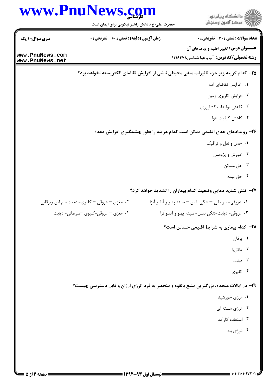| حضرت علی(ع): دانش راهبر نیکویی برای ایمان است<br><b>زمان آزمون (دقیقه) : تستی : 60 ٪ تشریحی : 0</b><br><b>سری سوال :</b> ۱ یک | ِ<br>∭ دانشڪاه پيام نور<br>∭ مرڪز آزمون وسنڊش<br>تعداد سوالات : تستي : 30 ٪ تشريحي : 0<br>عنـــوان درس: تغییر اقلیم و پیامدهای آن<br><b>رشته تحصیلی/کد درس:</b> آب و هوا شناسی1۲۱۶۴۷۸<br>۲۵− کدام گزینه زیر جزء تاثیرات منفی محیطی ناشی از افزایش تقاضای الکتریسته <u>نخو</u> اهد بود؟<br>٠١. افزايش تقاضاي آب<br>۰۲ افزایش کاربری زمین<br>۰۳ کاهش تولیدات کشاورزی<br>۰۴ کاهش کیفیت هوا<br>۲۶- رویدادهای حدی اقلیمی ممکن است کدام هزینه را بطور چشمگیری افزایش دهد؟<br>۰۱ حمل و نقل و ترافیک |
|-------------------------------------------------------------------------------------------------------------------------------|----------------------------------------------------------------------------------------------------------------------------------------------------------------------------------------------------------------------------------------------------------------------------------------------------------------------------------------------------------------------------------------------------------------------------------------------------------------------------------------------|
| www.PnuNews.com                                                                                                               |                                                                                                                                                                                                                                                                                                                                                                                                                                                                                              |
|                                                                                                                               |                                                                                                                                                                                                                                                                                                                                                                                                                                                                                              |
| www.PnuNews.net                                                                                                               |                                                                                                                                                                                                                                                                                                                                                                                                                                                                                              |
|                                                                                                                               |                                                                                                                                                                                                                                                                                                                                                                                                                                                                                              |
|                                                                                                                               |                                                                                                                                                                                                                                                                                                                                                                                                                                                                                              |
|                                                                                                                               |                                                                                                                                                                                                                                                                                                                                                                                                                                                                                              |
|                                                                                                                               |                                                                                                                                                                                                                                                                                                                                                                                                                                                                                              |
|                                                                                                                               |                                                                                                                                                                                                                                                                                                                                                                                                                                                                                              |
|                                                                                                                               |                                                                                                                                                                                                                                                                                                                                                                                                                                                                                              |
|                                                                                                                               |                                                                                                                                                                                                                                                                                                                                                                                                                                                                                              |
|                                                                                                                               |                                                                                                                                                                                                                                                                                                                                                                                                                                                                                              |
|                                                                                                                               | ۰۲ آموزش و پژوهش                                                                                                                                                                                                                                                                                                                                                                                                                                                                             |
|                                                                                                                               | ۰۳ حق مسکن                                                                                                                                                                                                                                                                                                                                                                                                                                                                                   |
|                                                                                                                               | ۰۴ حق بیمه                                                                                                                                                                                                                                                                                                                                                                                                                                                                                   |
|                                                                                                                               | ۲۷– تنش شدید دمایی وضعیت کدام بیماران را تشدید خواهد کرد؟                                                                                                                                                                                                                                                                                                                                                                                                                                    |
| ۰۲ مغزی – عروقی – کلیوی- دیابت- ام اس ویرقانی                                                                                 | ٠١ عروقي- سرطاني - تنكي نفس - سينه پهلو و آنفلو آنزا                                                                                                                                                                                                                                                                                                                                                                                                                                         |
| ۰۴ مغزی – عروقی-کلیوی –سرطانی- دیابت                                                                                          | ۰۳ عروقي- ديابت-تنگي نفس- سينه پهلو و آنفلوآنزا                                                                                                                                                                                                                                                                                                                                                                                                                                              |
|                                                                                                                               | <b>۲۸- کدام بیماری به شرایط اقلیمی حساس است؟</b>                                                                                                                                                                                                                                                                                                                                                                                                                                             |
|                                                                                                                               | ٠١. يرقان                                                                                                                                                                                                                                                                                                                                                                                                                                                                                    |
|                                                                                                                               | ٠٢ مالاريا                                                                                                                                                                                                                                                                                                                                                                                                                                                                                   |
|                                                                                                                               | دیابت $\cdot$ ۳                                                                                                                                                                                                                                                                                                                                                                                                                                                                              |
|                                                                                                                               | ۰۴ کلیوی                                                                                                                                                                                                                                                                                                                                                                                                                                                                                     |
|                                                                                                                               | ۲۹- در ایالات متحده، بزرگترین منبع بالقوه و منحصر به فرد انرژی ارزان و قابل دسترسی چیست؟                                                                                                                                                                                                                                                                                                                                                                                                     |
|                                                                                                                               | ۰۱ انرژی خورشید                                                                                                                                                                                                                                                                                                                                                                                                                                                                              |
|                                                                                                                               | ۰۲ انرژی هسته ای                                                                                                                                                                                                                                                                                                                                                                                                                                                                             |
|                                                                                                                               | ۰۳ استفاده کارآمد                                                                                                                                                                                                                                                                                                                                                                                                                                                                            |
|                                                                                                                               | ۰۴ انرژی باد                                                                                                                                                                                                                                                                                                                                                                                                                                                                                 |